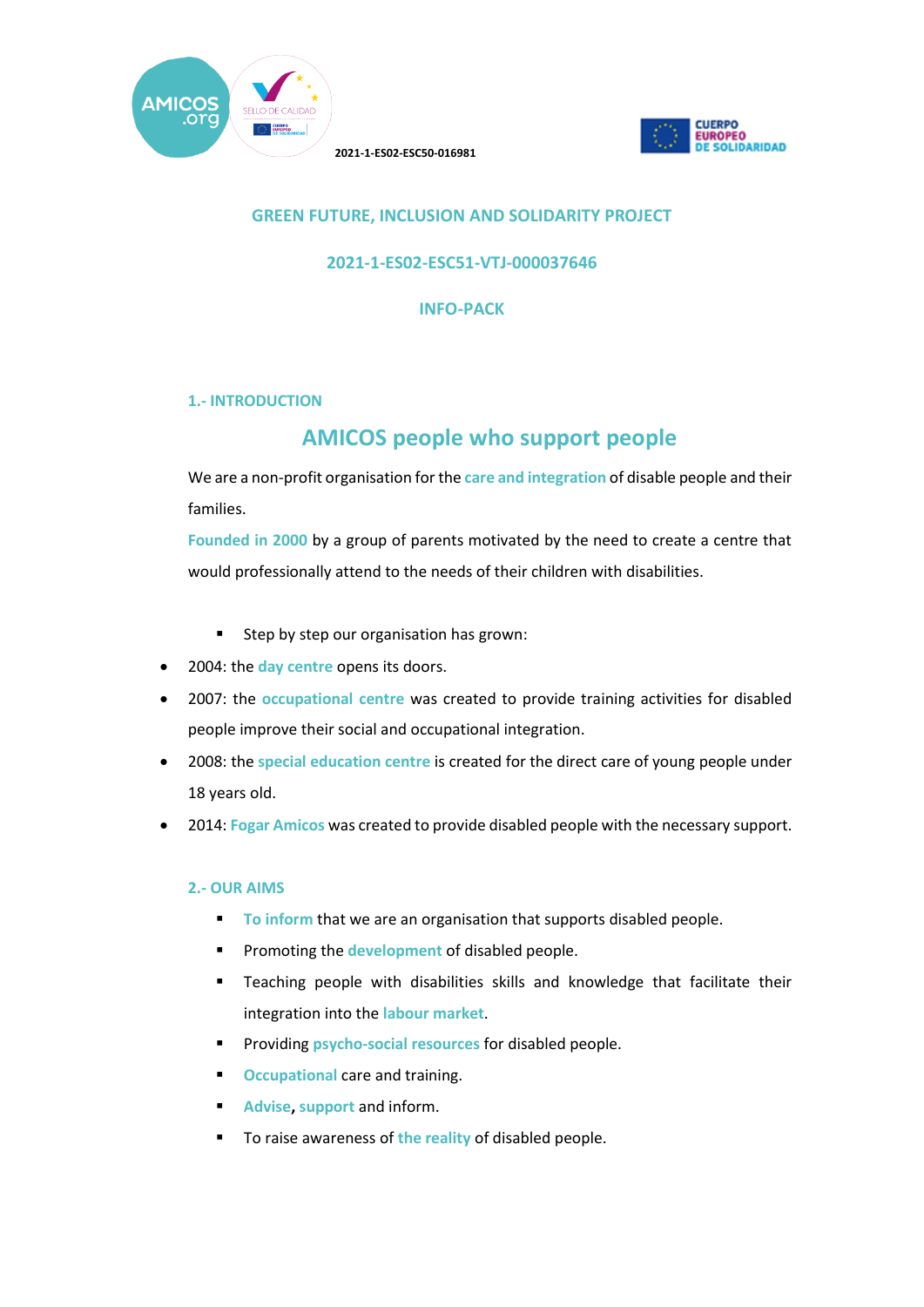



## **GREEN FUTURE, INCLUSION AND SOLIDARITY PROJECT**

### **2021-1-ES02-ESC51-VTJ-000037646**

**INFO-PACK**

## **1.- INTRODUCTION**

# **AMICOS people who support people**

We are a non-profit organisation for the **care and integration** of disable people and their families.

**Founded in 2000** by a group of parents motivated by the need to create a centre that would professionally attend to the needs of their children with disabilities.

- **Step by step our organisation has grown:**
- 2004: the **day centre** opens its doors.
- 2007: the **occupational centre** was created to provide training activities for disabled people improve their social and occupational integration.
- 2008: the **special education centre** is created for the direct care of young people under 18 years old.
- 2014: **Fogar Amicos** was created to provide disabled people with the necessary support.

#### **2.- OUR AIMS**

- **To inform** that we are an organisation that supports disabled people.
- **Promoting the development of disabled people.**
- **Teaching people with disabilities skills and knowledge that facilitate their** integration into the **labour market**.
- **Providing psycho-social resources for disabled people.**
- **C**Ccupational care and training.
- **Advise, support** and inform.
- **To raise awareness of the reality of disabled people.**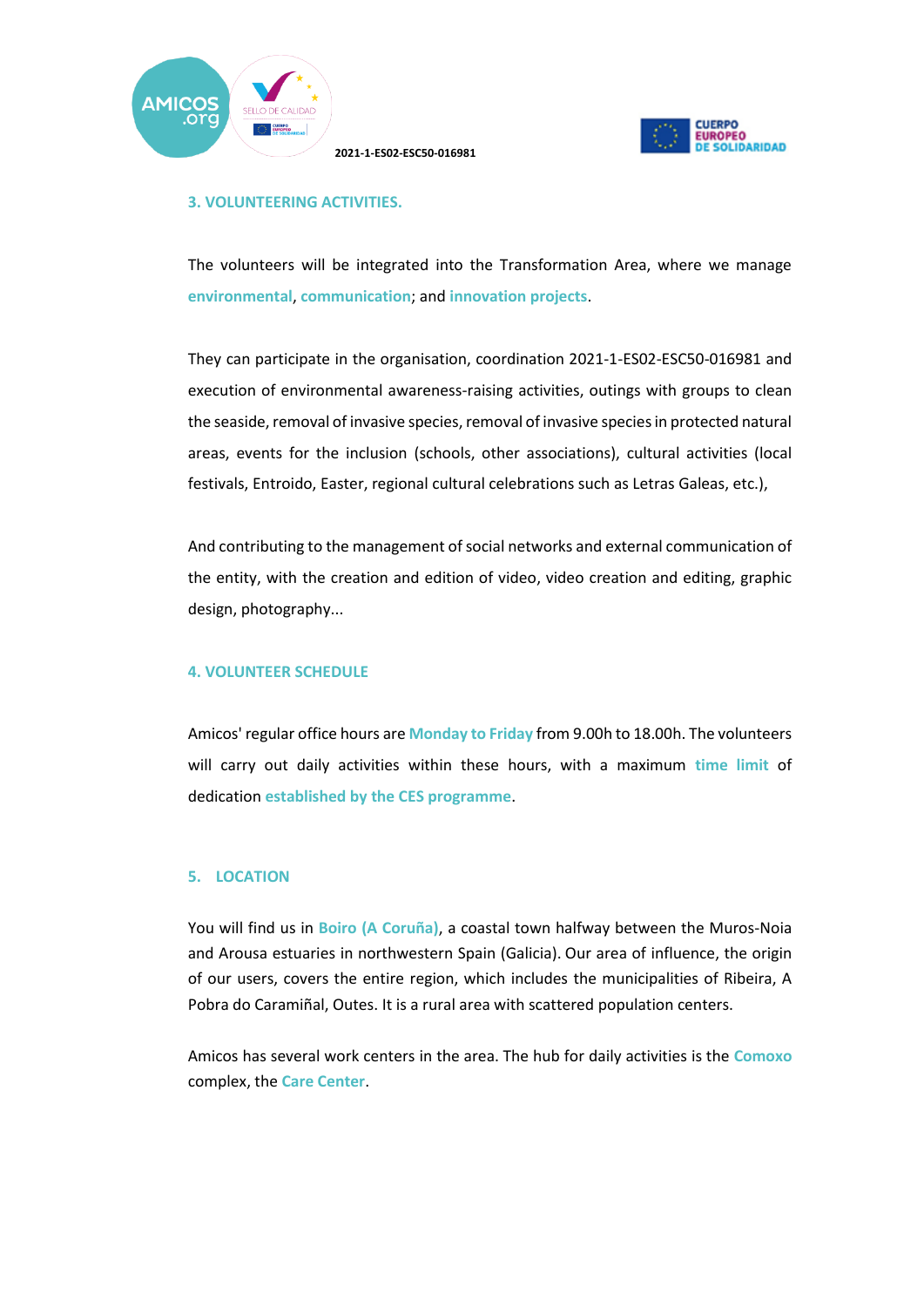



#### **3. VOLUNTEERING ACTIVITIES.**

The volunteers will be integrated into the Transformation Area, where we manage **environmental**, **communication**; and **innovation projects**.

They can participate in the organisation, coordination 2021-1-ES02-ESC50-016981 and execution of environmental awareness-raising activities, outings with groups to clean the seaside, removal of invasive species, removal of invasive species in protected natural areas, events for the inclusion (schools, other associations), cultural activities (local festivals, Entroido, Easter, regional cultural celebrations such as Letras Galeas, etc.),

And contributing to the management of social networks and external communication of the entity, with the creation and edition of video, video creation and editing, graphic design, photography...

### **4. VOLUNTEER SCHEDULE**

Amicos' regular office hours are **Monday to Friday** from 9.00h to 18.00h. The volunteers will carry out daily activities within these hours, with a maximum **time limit** of dedication **established by the CES programme**.

#### **5. LOCATION**

You will find us in **Boiro (A Coruña)**, a coastal town halfway between the Muros-Noia and Arousa estuaries in northwestern Spain (Galicia). Our area of influence, the origin of our users, covers the entire region, which includes the municipalities of Ribeira, A Pobra do Caramiñal, Outes. It is a rural area with scattered population centers.

Amicos has several work centers in the area. The hub for daily activities is the **Comoxo** complex, the **Care Center**.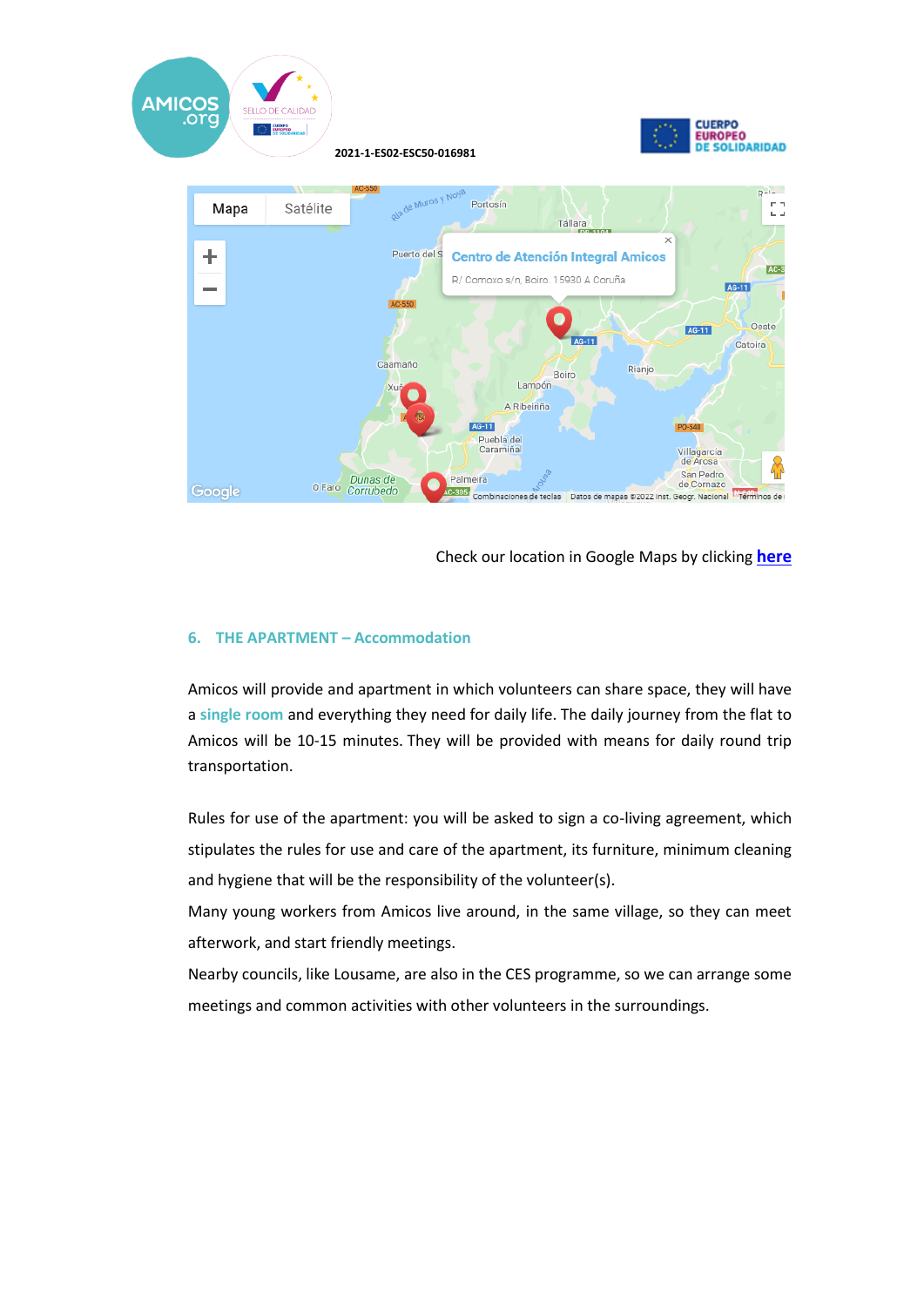

Check our location in Google Maps by clicking **here**

#### **6. THE APARTMENT – Accommodation**

Amicos will provide and apartment in which volunteers can share space, they will have a **single room** and everything they need for daily life. The daily journey from the flat to Amicos will be 10-15 minutes. They will be provided with means for daily round trip transportation.

Rules for use of the apartment: you will be asked to sign a co-living agreement, which stipulates the rules for use and care of the apartment, its furniture, minimum cleaning and hygiene that will be the responsibility of the volunteer(s).

Many young workers from Amicos live around, in the same village, so they can meet afterwork, and start friendly meetings.

Nearby councils, like Lousame, are also in the CES programme, so we can arrange some meetings and common activities with other volunteers in the surroundings.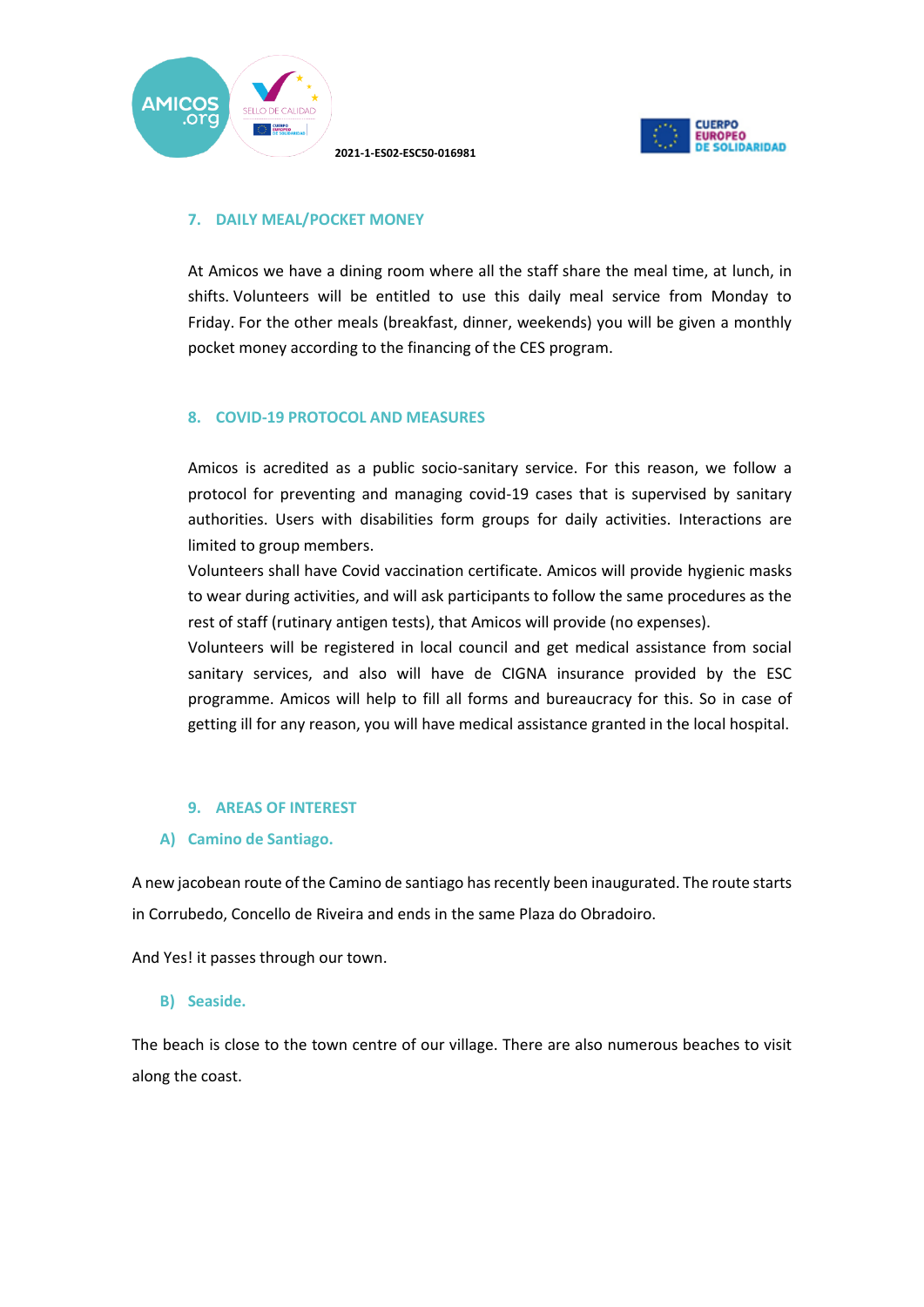



## **7. DAILY MEAL/POCKET MONEY**

At Amicos we have a dining room where all the staff share the meal time, at lunch, in shifts. Volunteers will be entitled to use this daily meal service from Monday to Friday. For the other meals (breakfast, dinner, weekends) you will be given a monthly pocket money according to the financing of the CES program.

#### **8. COVID-19 PROTOCOL AND MEASURES**

Amicos is acredited as a public socio-sanitary service. For this reason, we follow a protocol for preventing and managing covid-19 cases that is supervised by sanitary authorities. Users with disabilities form groups for daily activities. Interactions are limited to group members.

Volunteers shall have Covid vaccination certificate. Amicos will provide hygienic masks to wear during activities, and will ask participants to follow the same procedures as the rest of staff (rutinary antigen tests), that Amicos will provide (no expenses).

Volunteers will be registered in local council and get medical assistance from social sanitary services, and also will have de CIGNA insurance provided by the ESC programme. Amicos will help to fill all forms and bureaucracy for this. So in case of getting ill for any reason, you will have medical assistance granted in the local hospital.

#### **9. AREAS OF INTEREST**

#### **A) Camino de Santiago.**

A new jacobean route of the Camino de santiago has recently been inaugurated. The route starts in Corrubedo, Concello de Riveira and ends in the same Plaza do Obradoiro.

And Yes! it passes through our town.

#### **B) Seaside.**

The beach is close to the town centre of our village. There are also numerous beaches to visit along the coast.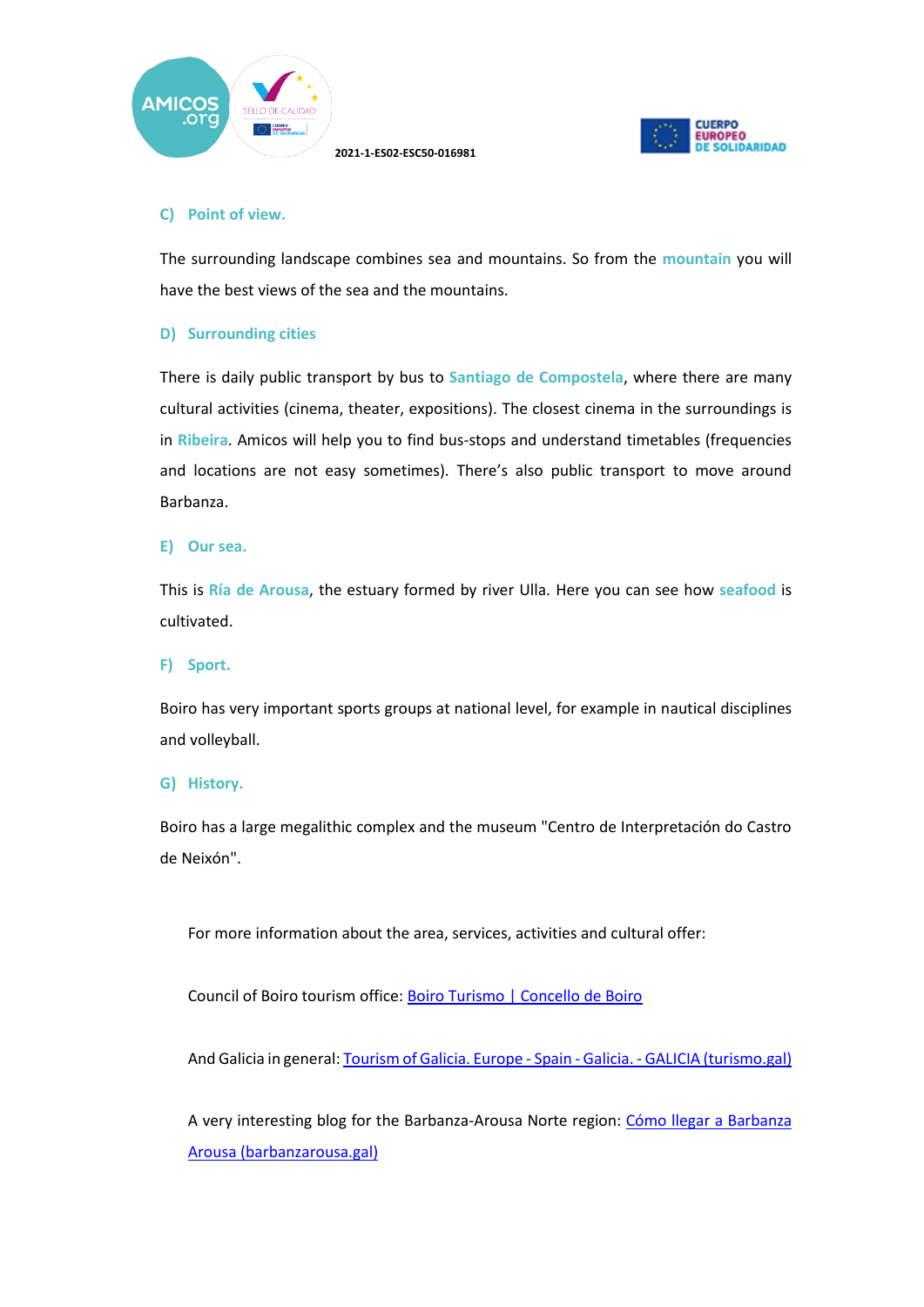



#### **C) Point of view.**

The surrounding landscape combines sea and mountains. So from the **mountain** you will have the best views of the sea and the mountains.

#### **D) Surrounding cities**

There is daily public transport by bus to **Santiago de Compostela**, where there are many cultural activities (cinema, theater, expositions). The closest cinema in the surroundings is in **Ribeira**. Amicos will help you to find bus-stops and understand timetables (frequencies and locations are not easy sometimes). There's also public transport to move around Barbanza.

#### **E) Our sea.**

This is **Ría de Arousa**, the estuary formed by river Ulla. Here you can see how **seafood** is cultivated.

#### **F) Sport.**

Boiro has very important sports groups at national level, for example in nautical disciplines and volleyball.

#### **G) History.**

Boiro has a large megalithic complex and the museum "Centro de Interpretación do Castro de Neixón".

For more information about the area, services, activities and cultural offer:

Council of Boiro tourism office: Boiro Turismo | Concello de Boiro

And Galicia in general: Tourism of Galicia. Europe - Spain - Galicia. - GALICIA (turismo.gal)

A very interesting blog for the Barbanza-Arousa Norte region: Cómo llegar a Barbanza Arousa (barbanzarousa.gal)